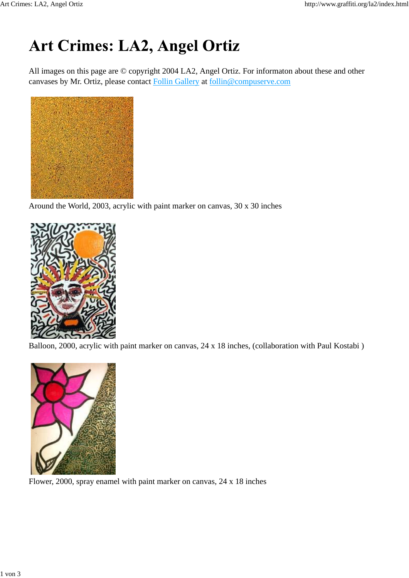## Art Crimes: LA2, Angel Ortiz

All images on this page are © copyright 2004 LA2, Angel Ortiz. For informaton about these and other canvases by Mr. Ortiz, please contact Follin Gallery at follin@compuserve.com



Around the World, 2003, acrylic with paint marker on canvas, 30 x 30 inches



Balloon, 2000, acrylic with paint marker on canvas, 24 x 18 inches, (collaboration with Paul Kostabi )



Flower, 2000, spray enamel with paint marker on canvas, 24 x 18 inches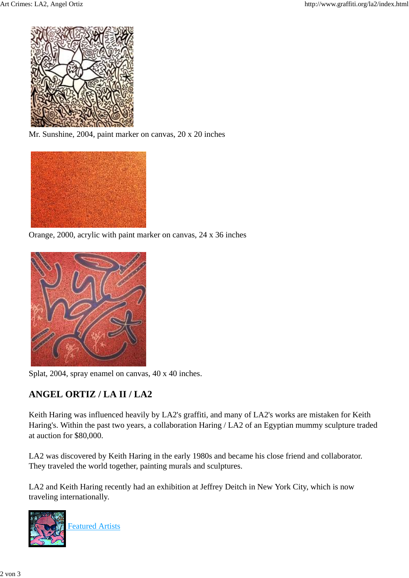

Mr. Sunshine, 2004, paint marker on canvas, 20 x 20 inches



Orange, 2000, acrylic with paint marker on canvas, 24 x 36 inches



Splat, 2004, spray enamel on canvas, 40 x 40 inches.

## **ANGEL ORTIZ / LA II / LA2**

Keith Haring was influenced heavily by LA2's graffiti, and many of LA2's works are mistaken for Keith Haring's. Within the past two years, a collaboration Haring / LA2 of an Egyptian mummy sculpture traded at auction for \$80,000.

LA2 was discovered by Keith Haring in the early 1980s and became his close friend and collaborator. They traveled the world together, painting murals and sculptures.

LA2 and Keith Haring recently had an exhibition at Jeffrey Deitch in New York City, which is now traveling internationally.